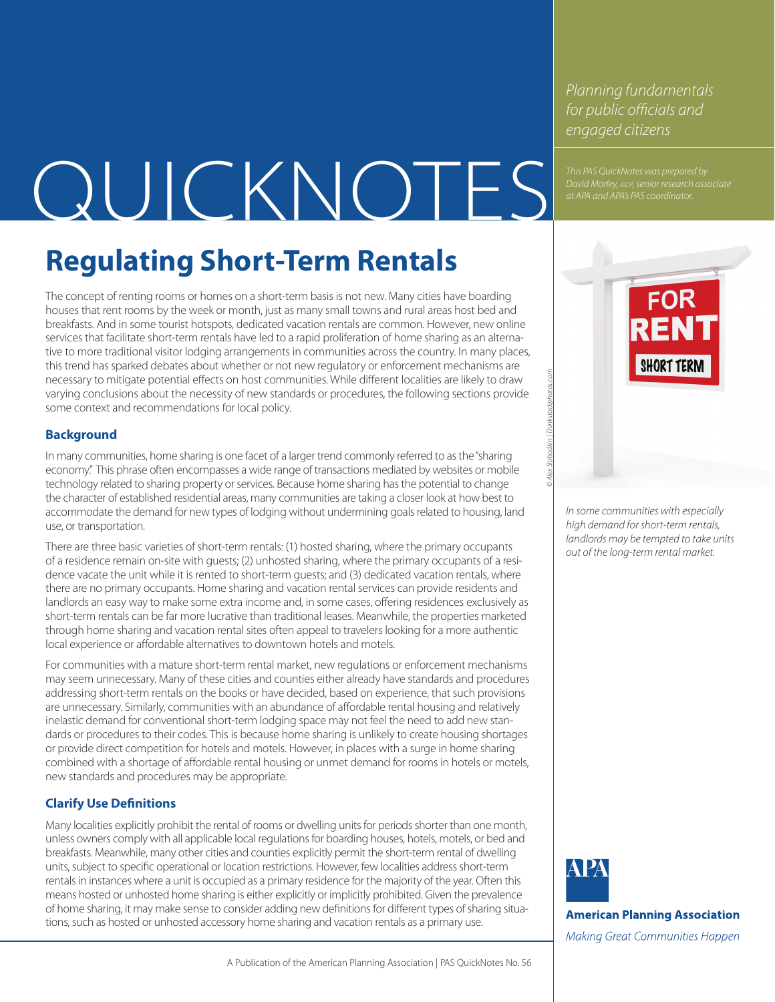*Planning fundamentals for public officials and engaged citizens*

# *David Morley, aicp, senior research associate* OUICKNOTES *at APA and APA's PAS coordinator.*

# **Regulating Short-Term Rentals**

The concept of renting rooms or homes on a short-term basis is not new. Many cities have boarding houses that rent rooms by the week or month, just as many small towns and rural areas host bed and breakfasts. And in some tourist hotspots, dedicated vacation rentals are common. However, new online services that facilitate short-term rentals have led to a rapid proliferation of home sharing as an alternative to more traditional visitor lodging arrangements in communities across the country. In many places, this trend has sparked debates about whether or not new regulatory or enforcement mechanisms are necessary to mitigate potential effects on host communities. While different localities are likely to draw varying conclusions about the necessity of new standards or procedures, the following sections provide some context and recommendations for local policy.

# **Background**

In many communities, home sharing is one facet of a larger trend commonly referred to as the "sharing" economy." This phrase often encompasses a wide range of transactions mediated by websites or mobile technology related to sharing property or services. Because home sharing has the potential to change the character of established residential areas, many communities are taking a closer look at how best to accommodate the demand for new types of lodging without undermining goals related to housing, land use, or transportation.

There are three basic varieties of short-term rentals: (1) hosted sharing, where the primary occupants of a residence remain on-site with guests; (2) unhosted sharing, where the primary occupants of a residence vacate the unit while it is rented to short-term guests; and (3) dedicated vacation rentals, where there are no primary occupants. Home sharing and vacation rental services can provide residents and landlords an easy way to make some extra income and, in some cases, offering residences exclusively as short-term rentals can be far more lucrative than traditional leases. Meanwhile, the properties marketed through home sharing and vacation rental sites often appeal to travelers looking for a more authentic local experience or affordable alternatives to downtown hotels and motels.

For communities with a mature short-term rental market, new regulations or enforcement mechanisms may seem unnecessary. Many of these cities and counties either already have standards and procedures addressing short-term rentals on the books or have decided, based on experience, that such provisions are unnecessary. Similarly, communities with an abundance of affordable rental housing and relatively inelastic demand for conventional short-term lodging space may not feel the need to add new standards or procedures to their codes. This is because home sharing is unlikely to create housing shortages or provide direct competition for hotels and motels. However, in places with a surge in home sharing combined with a shortage of affordable rental housing or unmet demand for rooms in hotels or motels, new standards and procedures may be appropriate.

# **Clarify Use Definitions**

Many localities explicitly prohibit the rental of rooms or dwelling units for periods shorter than one month, unless owners comply with all applicable local regulations for boarding houses, hotels, motels, or bed and breakfasts. Meanwhile, many other cities and counties explicitly permit the short-term rental of dwelling units, subject to specific operational or location restrictions. However, few localities address short-term rentals in instances where a unit is occupied as a primary residence for the majority of the year. Often this means hosted or unhosted home sharing is either explicitly or implicitly prohibited. Given the prevalence of home sharing, it may make sense to consider adding new definitions for different types of sharing situations, such as hosted or unhosted accessory home sharing and vacation rentals as a primary use.



*In some communities with especially high demand for short-term rentals, landlords may be tempted to take units out of the long-term rental market.*

*© Alex Slobodkin | Thinkstockphotos.com*



**American Planning Association** 

Making Great Communities Happen